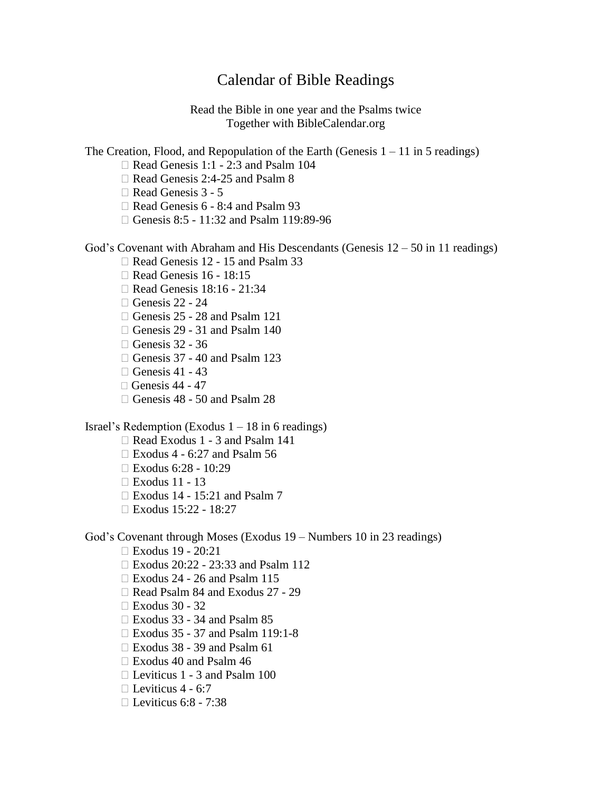## Calendar of Bible Readings

Read the Bible in one year and the Psalms twice Together with BibleCalendar.org

The Creation, Flood, and Repopulation of the Earth (Genesis  $1 - 11$  in 5 readings)

- $\Box$  Read Genesis 1:1 2:3 and Psalm 104
- Read Genesis 2:4-25 and Psalm 8

Read Genesis 3 - 5

 $\Box$  Read Genesis 6 - 8:4 and Psalm 93

□ Genesis 8:5 - 11:32 and Psalm 119:89-96

God's Covenant with Abraham and His Descendants (Genesis 12 – 50 in 11 readings)

- □ Read Genesis 12 15 and Psalm 33
- Read Genesis 16 18:15
- Read Genesis 18:16 21:34
- $\Box$  Genesis 22 24
- Genesis 25 28 and Psalm 121
- $\Box$  Genesis 29 31 and Psalm 140
- $\Box$  Genesis 32 36
- $\Box$  Genesis 37 40 and Psalm 123
- $\Box$  Genesis 41 43
- $\Box$  [Genesis](http://www.comoleerlabiblia.org/geacutenesis-44---47.html) 44 47
- Genesis 48 50 and Psalm 28

Israel's Redemption (Exodus  $1 - 18$  in 6 readings)

- Read Exodus 1 3 and Psalm 141
- $\Box$  Exodus 4 6:27 and Psalm 56
- Exodus 6:28 10:29
- Exodus 11 13
- Exodus 14 15:21 and Psalm 7
- $\Box$  Exodus 15:22 18:27

God's Covenant through Moses (Exodus 19 – Numbers 10 in 23 readings)

- Exodus 19 20:21
- Exodus 20:22 23:33 and Psalm 112
- $\Box$  Exodus 24 26 and Psalm 115
- Read Psalm 84 and Exodus 27 29
- Exodus 30 32
- $\Box$  Exodus 33 34 and Psalm 85
- Exodus 35 37 and Psalm 119:1-8
- $\Box$  Exodus 38 39 and Psalm 61
- Exodus 40 and Psalm 46
- $\Box$  Leviticus 1 3 and Psalm 100
- $\Box$  Leviticus 4 6:7
- $\Box$  Leviticus 6:8 7:38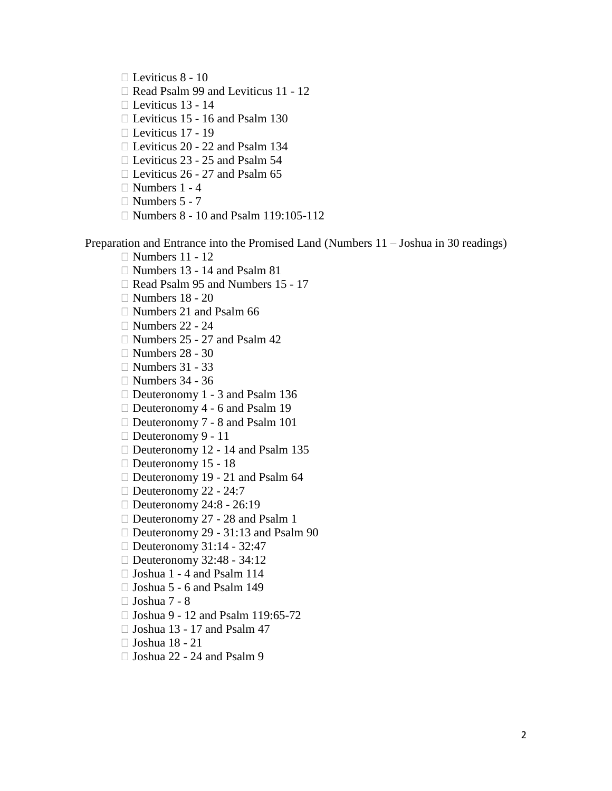Leviticus 8 - 10

- Read Psalm 99 and Leviticus 11 12
- Leviticus 13 14
- □ Leviticus 15 16 and Psalm 130
- $\Box$  Leviticus 17 19
- □ Leviticus 20 22 and Psalm 134
- □ Leviticus 23 25 and Psalm 54
- $\Box$  Leviticus 26 27 and Psalm 65
- $\Box$  Numbers 1 4
- $\Box$  Numbers 5 7
- □ Numbers 8 10 and Psalm 119:105-112

Preparation and Entrance into the Promised Land (Numbers 11 – Joshua in 30 readings)

- $\Box$  Numbers 11 12
- Numbers 13 14 and Psalm 81
- Read Psalm 95 and Numbers 15 17
- $\Box$  Numbers 18 20
- $\Box$  Numbers 21 and Psalm 66
- $\Box$  Numbers 22 24
- $\Box$  Numbers 25 27 and Psalm 42
- $\Box$  Numbers 28 30
- $\Box$  Numbers 31 33
- $\Box$  Numbers 34 36
- □ Deuteronomy 1 3 and Psalm 136
- □ Deuteronomy 4 6 and Psalm 19
- □ Deuteronomy 7 8 and Psalm 101
- $\Box$  Deuteronomy 9 11
- □ Deuteronomy 12 14 and Psalm 135
- Deuteronomy 15 18
- □ Deuteronomy 19 21 and Psalm 64
- $\Box$  Deuteronomy 22 24:7
- □ Deuteronomy 24:8 26:19
- □ Deuteronomy 27 28 and Psalm 1
- □ Deuteronomy 29 31:13 and Psalm 90
- $\Box$  Deuteronomy 31:14 32:47
- □ Deuteronomy 32:48 34:12
- $\Box$  Joshua 1 4 and Psalm 114
- Joshua 5 6 and Psalm 149
- $\Box$  Joshua 7 8
- □ Joshua 9 12 and Psalm 119:65-72
- $\Box$  Joshua 13 17 and Psalm 47
- Joshua 18 21
- $\Box$  Joshua 22 24 and Psalm 9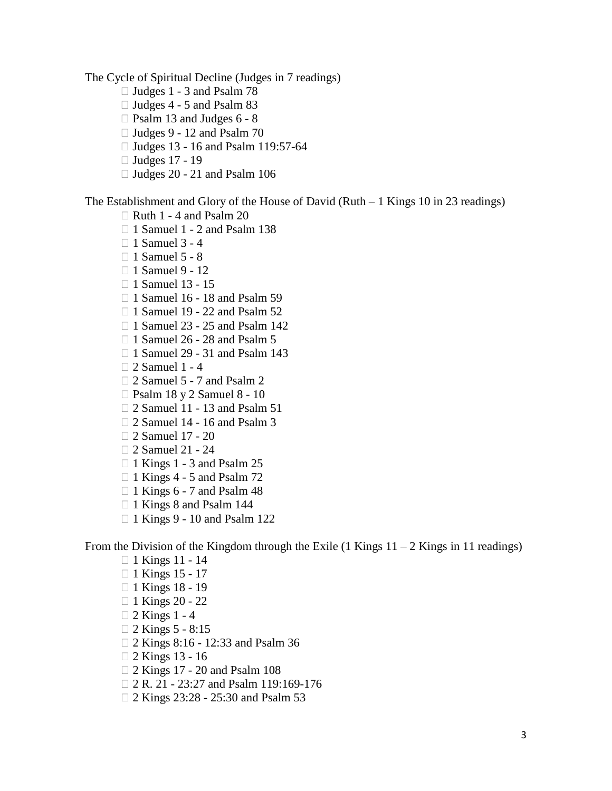The Cycle of Spiritual Decline (Judges in 7 readings)

- $\Box$  Judges 1 3 and Psalm 78
- $\Box$  Judges 4 5 and Psalm 83
- $\Box$  Psalm 13 and Judges 6 8
- $\Box$  Judges 9 12 and Psalm 70
- □ Judges 13 16 and Psalm 119:57-64
- Judges 17 19
- $\Box$  Judges 20 21 and Psalm 106

The Establishment and Glory of the House of David (Ruth – 1 Kings 10 in 23 readings)

- $\Box$  Ruth 1 4 and Psalm 20
- $\Box$  1 Samuel 1 2 and Psalm 138
- $\Box$  1 Samuel 3 4
- $\Box$  1 Samuel 5 8
- $\Box$  1 Samuel 9 12
- $\Box$  1 Samuel 13 15
- $\Box$  1 Samuel 16 18 and Psalm 59
- □ 1 Samuel 19 22 and Psalm 52
- $\Box$  1 Samuel 23 25 and Psalm 142
- $\Box$  1 Samuel 26 28 and Psalm 5
- □ 1 Samuel 29 31 and Psalm 143
- $\Box$  2 Samuel 1 4
- □ 2 Samuel 5 7 and Psalm 2
- Psalm 18 y 2 Samuel 8 10
- □ 2 Samuel 11 13 and Psalm 51
- $\Box$  2 Samuel 14 16 and Psalm 3
- 2 Samuel 17 20
- □ 2 Samuel 21 24
- $\Box$  1 Kings 1 3 and Psalm 25
- $\Box$  1 Kings 4 5 and Psalm 72
- $\Box$  1 Kings 6 7 and Psalm 48
- $\Box$  1 Kings 8 and Psalm 144
- □ 1 Kings 9 10 and Psalm 122

From the Division of the Kingdom through the Exile  $(1 \text{ Kings } 11 - 2 \text{ Kings in } 11 \text{ readings})$ 

- $\Box$  1 Kings 11 14
- □ 1 Kings 15 17
- $\Box$  1 Kings 18 19
- $\Box$  1 Kings 20 22
- $\Box$  2 Kings 1 4
- $\Box$  2 Kings 5 8:15
- 2 Kings 8:16 12:33 and Psalm 36
- 2 Kings 13 16
- 2 Kings 17 20 and Psalm 108
- □ 2 R. 21 23:27 and Psalm 119:169-176
- 2 Kings 23:28 25:30 and Psalm 53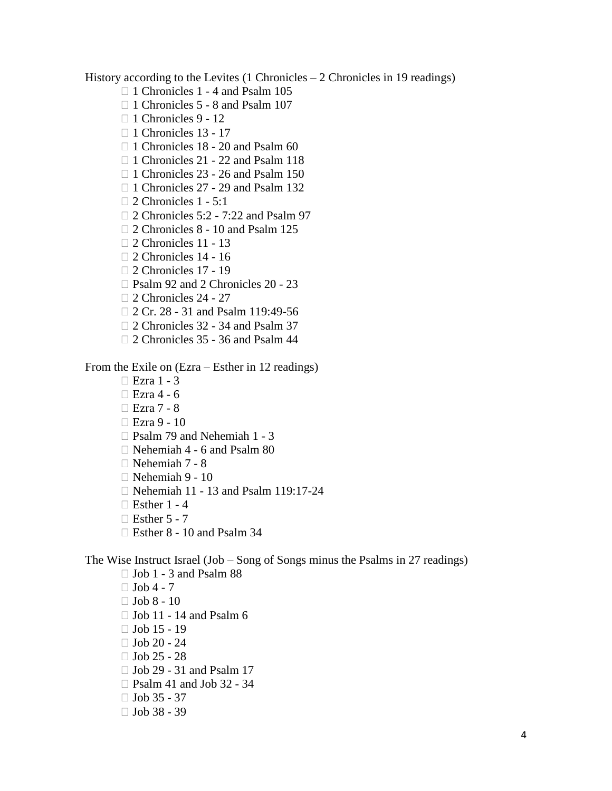History according to the Levites (1 Chronicles – 2 Chronicles in 19 readings)

- □ 1 Chronicles 1 4 and Psalm 105
- □ 1 Chronicles 5 8 and Psalm 107
- $\Box$  1 Chronicles 9 12
- □ 1 Chronicles 13 17
- $\Box$  1 Chronicles 18 20 and Psalm 60
- □ 1 Chronicles 21 22 and Psalm 118
- $\Box$  1 Chronicles 23 26 and Psalm 150
- $\Box$  1 Chronicles 27 29 and Psalm 132
- $\Box$  2 Chronicles 1 5:1
- □ 2 Chronicles 5:2 7:22 and Psalm 97
- □ 2 Chronicles 8 10 and Psalm 125
- □ 2 Chronicles 11 13
- □ 2 Chronicles 14 16
- □ 2 Chronicles 17 19
- □ Psalm 92 and 2 Chronicles 20 23
- □ 2 Chronicles 24 27
- □ 2 Cr. 28 31 and Psalm 119:49-56
- □ 2 Chronicles 32 34 and Psalm 37
- □ 2 Chronicles 35 36 and Psalm 44

From the Exile on (Ezra – Esther in 12 readings)

- $\Box$  Ezra 1 3
- $\Box$  Ezra 4 6
- Ezra 7 8
- $\Box$  Ezra 9 10
- □ Psalm 79 and Nehemiah 1 3
- Nehemiah 4 6 and Psalm 80
- Nehemiah 7 8
- $\Box$  Nehemiah 9 10
- □ Nehemiah 11 13 and Psalm 119:17-24
- $\Box$  Esther 1 4
- $\Box$  Esther 5 7
- Esther 8 10 and Psalm 34

The Wise Instruct Israel (Job – Song of Songs minus the Psalms in 27 readings)

- $\Box$  Job 1 3 and Psalm 88
- $\Box$  Job 4 7  $\Box$  Job 8 - 10  $\Box$  Job 11 - 14 and Psalm 6  $\Box$  Job 15 - 19  $\Box$  Job 20 - 24  $\Box$  Job 25 - 28 Job 29 - 31 and Psalm 17
- $\Box$  Psalm 41 and Job 32 34
- 
- $\Box$  Job 35 37
- $\Box$  Job 38 39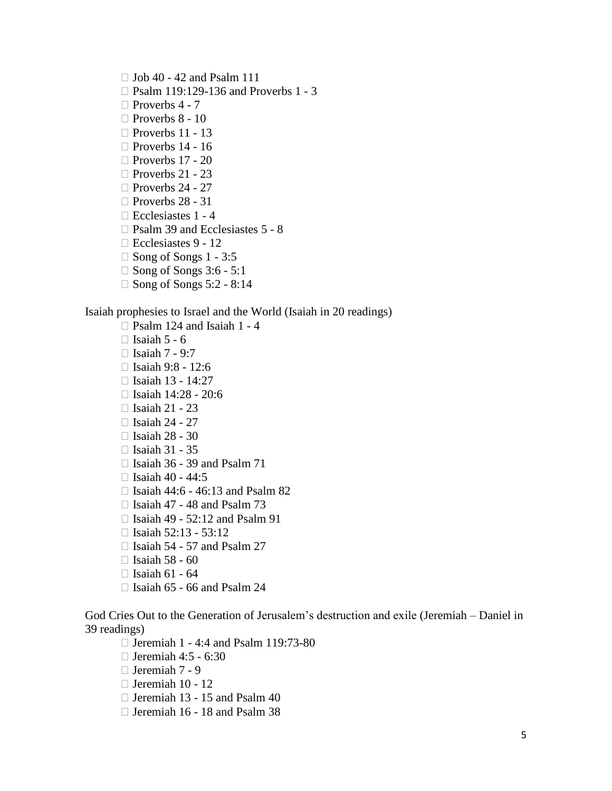$\Box$  Job 40 - 42 and Psalm 111

- □ Psalm 119:129-136 and Proverbs 1 3
- $\Box$  Proverbs 4 7
- $\Box$  Proverbs 8 10
- □ Proverbs 11 13
- $\Box$  Proverbs 14 16
- □ Proverbs 17 20
- $\Box$  Proverbs 21 23
- $\Box$  Proverbs 24 27
- □ Proverbs 28 31
- $\Box$  Ecclesiastes 1 4
- □ Psalm 39 and Ecclesiastes 5 8
- □ Ecclesiastes 9 12
- $\Box$  Song of Songs 1 3:5
- $\Box$  Song of Songs 3:6 5:1
- $\Box$  Song of Songs 5:2 8:14

## Isaiah prophesies to Israel and the World (Isaiah in 20 readings)

- $\Box$  Psalm 124 and Isaiah 1 4
- $\Box$  Isaiah 5 6
- $\Box$  Isaiah 7 9:7
- $\Box$  Isaiah 9:8 12:6
- $\Box$  Isaiah 13 14:27
- $\Box$  Isaiah 14:28 20:6
- $\Box$  Isaiah 21 23
- $\Box$  Isaiah 24 27
- $\Box$  Isaiah 28 30
- $\Box$  Isaiah 31 35
- $\Box$  Isaiah 36 39 and Psalm 71
- $\Box$  Isaiah 40 44:5
- $\Box$  Isaiah 44:6 46:13 and Psalm 82
- $\Box$  Isaiah 47 48 and Psalm 73
- $\Box$  Isaiah 49 52:12 and Psalm 91
- $\Box$  Isaiah 52:13 53:12
- $\Box$  Isaiah 54 57 and Psalm 27
- $\Box$  Isaiah 58 60
- $\Box$  Isaiah 61 64
- $\Box$  Isaiah 65 66 and Psalm 24

God Cries Out to the Generation of Jerusalem's destruction and exile (Jeremiah – Daniel in 39 readings)

- $\Box$  Jeremiah 1 4:4 and Psalm 119:73-80
- $\Box$  Jeremiah 4:5 6:30
- Jeremiah 7 9
- $\Box$  Jeremiah 10 12
- $\Box$  Jeremiah 13 15 and Psalm 40
- Jeremiah 16 18 and Psalm 38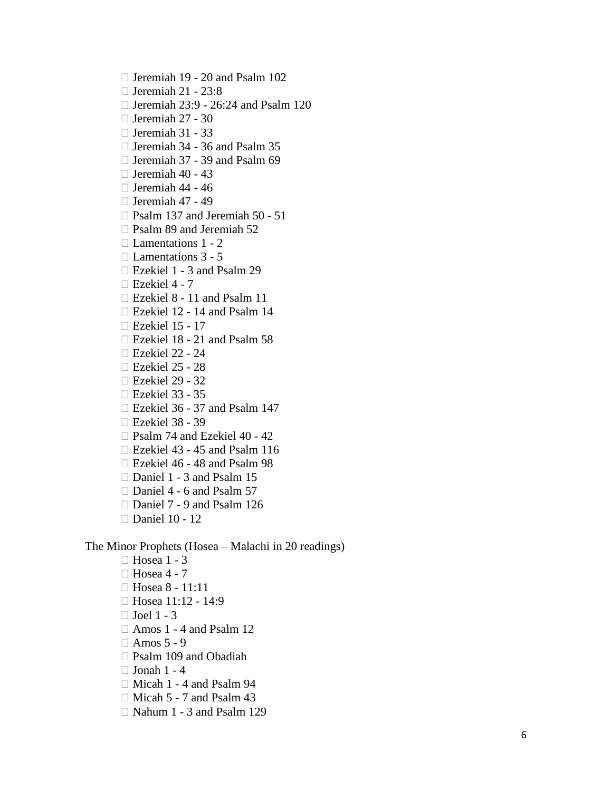- Jeremiah 19 20 and Psalm 102
- $\Box$  Jeremiah 21 23:8
- $\Box$  Jeremiah 23:9 26:24 and Psalm 120
- $\Box$  Jeremiah 27 30
- $\Box$  Jeremiah 31 33
- Jeremiah 34 36 and Psalm 35
- □ Jeremiah 37 39 and Psalm 69
- $\Box$  Jeremiah 40 43
- $\Box$  Jeremiah 44 46
- $\Box$  Jeremiah 47 49
- $\Box$  Psalm 137 and Jeremiah 50 51
- $\Box$  Psalm 89 and Jeremiah 52
- $\Box$  Lamentations 1 2
- $\Box$  Lamentations 3 5
- □ Ezekiel 1 3 and Psalm 29
- $\Box$  Ezekiel 4 7
- Ezekiel 8 11 and Psalm 11
- Ezekiel 12 14 and Psalm 14
- Ezekiel 15 17
- Ezekiel 18 21 and Psalm 58
- Ezekiel 22 24
- Ezekiel 25 28
- Ezekiel 29 32
- Ezekiel 33 35
- $\Box$  Ezekiel 36 37 and Psalm 147
- Ezekiel 38 39
- □ Psalm 74 and Ezekiel 40 42
- Ezekiel 43 45 and Psalm 116
- □ Ezekiel 46 48 and Psalm 98
- □ Daniel 1 3 and Psalm 15
- $\Box$  Daniel 4 6 and Psalm 57
- □ Daniel 7 9 and Psalm 126
- □ Daniel 10 12

The Minor Prophets (Hosea – Malachi in 20 readings)

- □ Hosea 1 3
- $\Box$  Hosea 4 7
- Hosea 8 11:11
- $\Box$  Hosea 11:12 14:9
- $\Box$  Joel 1 3
- $\Box$  Amos 1 4 and Psalm 12
- $\Box$  Amos 5 9
- Psalm 109 and Obadiah
- $\Box$  Jonah 1 4
- $\Box$  Micah 1 4 and Psalm 94
- $\Box$  Micah 5 7 and Psalm 43
- Nahum 1 3 and Psalm 129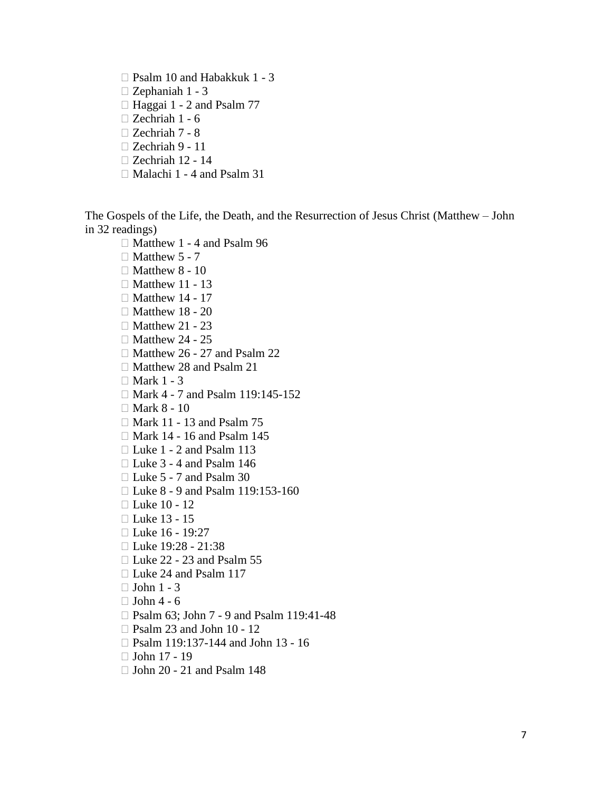- Psalm 10 and Habakkuk 1 3
- Zephaniah 1 3
- $\Box$  Haggai 1 2 and Psalm 77
- Zechriah 1 6
- Zechriah 7 8
- Zechriah 9 11
- Zechriah 12 14
- $\Box$  Malachi 1 4 and Psalm 31

The Gospels of the Life, the Death, and the Resurrection of Jesus Christ (Matthew – John in 32 readings)

- $\Box$  Matthew 1 4 and Psalm 96
- $\Box$  Matthew 5 7
- $\Box$  Matthew 8 10
- $\Box$  Matthew 11 13
- $\Box$  Matthew 14 17
- $\Box$  Matthew 18 20
- $\Box$  Matthew 21 23
- $\Box$  Matthew 24 25
- $\Box$  Matthew 26 27 and Psalm 22
- $\Box$  Matthew 28 and Psalm 21
- $\Box$  Mark 1 3
- □ Mark 4 7 and Psalm 119:145-152
- $\Box$  Mark 8 10
- Mark 11 13 and Psalm 75
- Mark 14 16 and Psalm 145
- □ Luke 1 2 and Psalm 113
- $\Box$  Luke 3 4 and Psalm 146
- $\Box$  Luke 5 7 and Psalm 30
- □ Luke 8 9 and Psalm 119:153-160
- □ Luke 10 12
- □ Luke 13 15
- Luke 16 19:27
- □ Luke  $19:28 21:38$
- $\Box$  Luke 22 23 and Psalm 55
- □ Luke 24 and Psalm 117
- $\Box$  John 1 3
- $\Box$  John 4 6
- □ Psalm 63; John 7 9 and Psalm 119:41-48
- $\Box$  Psalm 23 and John 10 12
- □ Psalm 119:137-144 and John 13 16
- $\Box$  John 17 19
- $\Box$  John 20 21 and Psalm 148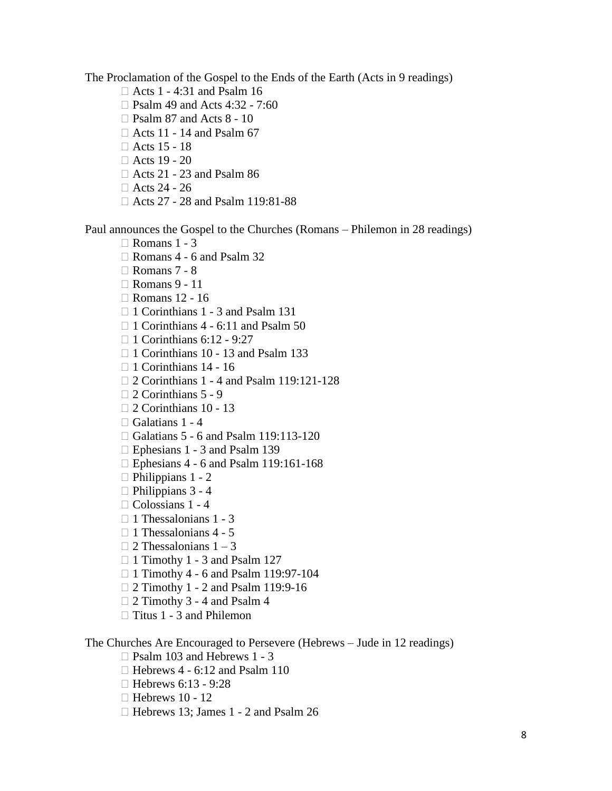The Proclamation of the Gospel to the Ends of the Earth (Acts in 9 readings)

- Acts 1 4:31 and Psalm 16
- □ Psalm 49 and Acts 4:32 7:60
- $\Box$  Psalm 87 and Acts 8 10
- $\Box$  Acts 11 14 and Psalm 67
- $\Box$  Acts 15 18
- $\Box$  Acts 19 20
- $\Box$  Acts 21 23 and Psalm 86
- $\Box$  Acts 24 26
- Acts 27 28 and Psalm 119:81-88

Paul announces the Gospel to the Churches (Romans – Philemon in 28 readings)

- $\Box$  Romans 1 3
- $\Box$  Romans 4 6 and Psalm 32
- Romans 7 8
- Romans 9 11
- Romans 12 16
- □ 1 Corinthians 1 3 and Psalm 131
- $\Box$  1 Corinthians 4 6:11 and Psalm 50
- $\Box$  1 Corinthians 6:12 9:27
- □ 1 Corinthians 10 13 and Psalm 133
- $\Box$  1 Corinthians 14 16
- □ 2 Corinthians 1 4 and Psalm 119:121-128
- $\Box$  2 Corinthians 5 9
- $\Box$  2 Corinthians 10 13
- $\Box$  Galatians 1 4
- □ Galatians 5 6 and Psalm 119:113-120
- $\Box$  Ephesians 1 3 and Psalm 139
- □ Ephesians 4 6 and Psalm 119:161-168
- $\Box$  Philippians 1 2
- $\Box$  Philippians 3 4
- $\Box$  Colossians 1 4
- $\Box$  1 Thessalonians 1 3
- $\Box$  1 Thessalonians 4 5
- $\Box$  2 Thessalonians 1 3
- $\Box$  1 Timothy 1 3 and Psalm 127
- $\Box$  1 Timothy 4 6 and Psalm 119:97-104
- □ 2 Timothy 1 2 and Psalm 119:9-16
- □ 2 Timothy 3 4 and Psalm 4
- $\Box$  Titus 1 3 and Philemon

The Churches Are Encouraged to Persevere (Hebrews – Jude in 12 readings)

- □ Psalm 103 and Hebrews 1 3
- $\Box$  Hebrews 4 6:12 and Psalm 110
- $\Box$  Hebrews 6:13 9:28
- $\Box$  Hebrews 10 12
- □ Hebrews 13; James 1 2 and Psalm 26